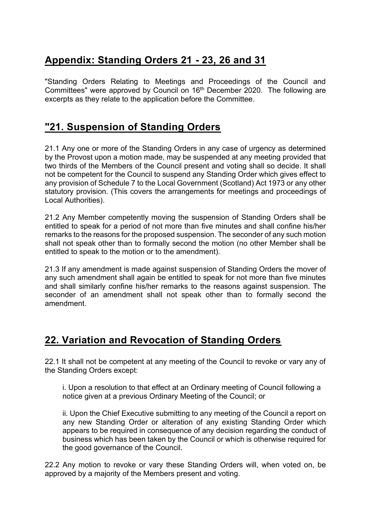## **Appendix: Standing Orders 21 - 23, 26 and 31**

"Standing Orders Relating to Meetings and Proceedings of the Council and Committees" were approved by Council on 16<sup>th</sup> December 2020. The following are excerpts as they relate to the application before the Committee.

#### **"21. Suspension of Standing Orders**

21.1 Any one or more of the Standing Orders in any case of urgency as determined by the Provost upon a motion made, may be suspended at any meeting provided that two thirds of the Members of the Council present and voting shall so decide. It shall not be competent for the Council to suspend any Standing Order which gives effect to any provision of Schedule 7 to the Local Government (Scotland) Act 1973 or any other statutory provision. (This covers the arrangements for meetings and proceedings of Local Authorities).

21.2 Any Member competently moving the suspension of Standing Orders shall be entitled to speak for a period of not more than five minutes and shall confine his/her remarks to the reasons for the proposed suspension. The seconder of any such motion shall not speak other than to formally second the motion (no other Member shall be entitled to speak to the motion or to the amendment).

21.3 If any amendment is made against suspension of Standing Orders the mover of any such amendment shall again be entitled to speak for not more than five minutes and shall similarly confine his/her remarks to the reasons against suspension. The seconder of an amendment shall not speak other than to formally second the amendment.

### **22. Variation and Revocation of Standing Orders**

22.1 It shall not be competent at any meeting of the Council to revoke or vary any of the Standing Orders except:

i. Upon a resolution to that effect at an Ordinary meeting of Council following a notice given at a previous Ordinary Meeting of the Council; or

ii. Upon the Chief Executive submitting to any meeting of the Council a report on any new Standing Order or alteration of any existing Standing Order which appears to be required in consequence of any decision regarding the conduct of business which has been taken by the Council or which is otherwise required for the good governance of the Council.

22.2 Any motion to revoke or vary these Standing Orders will, when voted on, be approved by a majority of the Members present and voting.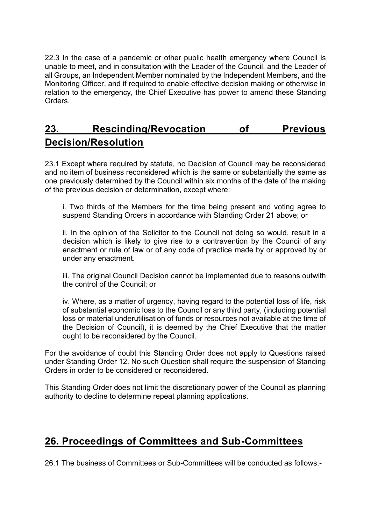22.3 In the case of a pandemic or other public health emergency where Council is unable to meet, and in consultation with the Leader of the Council, and the Leader of all Groups, an Independent Member nominated by the Independent Members, and the Monitoring Officer, and if required to enable effective decision making or otherwise in relation to the emergency, the Chief Executive has power to amend these Standing Orders.

#### **23. Rescinding/Revocation of Previous Decision/Resolution**

23.1 Except where required by statute, no Decision of Council may be reconsidered and no item of business reconsidered which is the same or substantially the same as one previously determined by the Council within six months of the date of the making of the previous decision or determination, except where:

i. Two thirds of the Members for the time being present and voting agree to suspend Standing Orders in accordance with Standing Order 21 above; or

ii. In the opinion of the Solicitor to the Council not doing so would, result in a decision which is likely to give rise to a contravention by the Council of any enactment or rule of law or of any code of practice made by or approved by or under any enactment.

iii. The original Council Decision cannot be implemented due to reasons outwith the control of the Council; or

iv. Where, as a matter of urgency, having regard to the potential loss of life, risk of substantial economic loss to the Council or any third party, (including potential loss or material underutilisation of funds or resources not available at the time of the Decision of Council), it is deemed by the Chief Executive that the matter ought to be reconsidered by the Council.

For the avoidance of doubt this Standing Order does not apply to Questions raised under Standing Order 12. No such Question shall require the suspension of Standing Orders in order to be considered or reconsidered.

This Standing Order does not limit the discretionary power of the Council as planning authority to decline to determine repeat planning applications.

#### **26. Proceedings of Committees and Sub-Committees**

26.1 The business of Committees or Sub-Committees will be conducted as follows:-